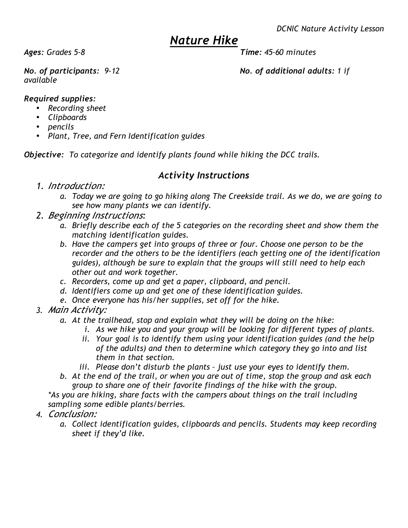## *Nature Hike*

## *Ages: Grades 5-8 Time: 45-60 minutes*

*available*

*No. of participants: 9-12 No. of additional adults: 1 if* 

## *Required supplies:*

- *Recording sheet*
- *Clipboards*
- *pencils*
- *Plant, Tree, and Fern Identification guides*

*Objective: To categorize and identify plants found while hiking the DCC trails.*

## *Activity Instructions*

- *1. Introduction:*
	- *a. Today we are going to go hiking along The Creekside trail. As we do, we are going to see how many plants we can identify.*
- *2. Beginning Instructions:*
	- *a. Briefly describe each of the 5 categories on the recording sheet and show them the matching identification guides.*
	- *b. Have the campers get into groups of three or four. Choose one person to be the recorder and the others to be the identifiers (each getting one of the identification guides), although be sure to explain that the groups will still need to help each other out and work together.*
	- *c. Recorders, come up and get a paper, clipboard, and pencil.*
	- *d. Identifiers come up and get one of these identification guides.*
	- *e. Once everyone has his/her supplies, set off for the hike.*
- *3. Main Activity:*
	- *a. At the trailhead, stop and explain what they will be doing on the hike:*
		- *i. As we hike you and your group will be looking for different types of plants.*
		- *ii. Your goal is to identify them using your identification guides (and the help of the adults) and then to determine which category they go into and list them in that section.*
		- *iii. Please don't disturb the plants just use your eyes to identify them.*
	- *b. At the end of the trail, or when you are out of time, stop the group and ask each group to share one of their favorite findings of the hike with the group.*

*\*As you are hiking, share facts with the campers about things on the trail including sampling some edible plants/berries.*

- *4. Conclusion:*
	- *a. Collect identification guides, clipboards and pencils. Students may keep recording sheet if they'd like.*